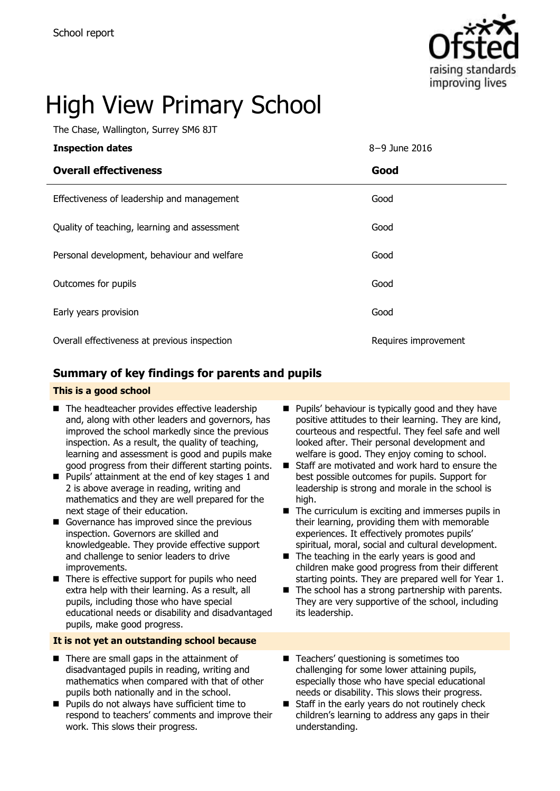

# High View Primary School

The Chase, Wallington, Surrey SM6 8JT

| <b>Inspection dates</b>                      | 8-9 June 2016        |
|----------------------------------------------|----------------------|
| <b>Overall effectiveness</b>                 | Good                 |
| Effectiveness of leadership and management   | Good                 |
| Quality of teaching, learning and assessment | Good                 |
| Personal development, behaviour and welfare  | Good                 |
| Outcomes for pupils                          | Good                 |
| Early years provision                        | Good                 |
| Overall effectiveness at previous inspection | Requires improvement |

### **Summary of key findings for parents and pupils**

### **This is a good school**

- The headteacher provides effective leadership and, along with other leaders and governors, has improved the school markedly since the previous inspection. As a result, the quality of teaching, learning and assessment is good and pupils make good progress from their different starting points.
- **Pupils' attainment at the end of key stages 1 and** 2 is above average in reading, writing and mathematics and they are well prepared for the next stage of their education.
- Governance has improved since the previous inspection. Governors are skilled and knowledgeable. They provide effective support and challenge to senior leaders to drive improvements.
- There is effective support for pupils who need extra help with their learning. As a result, all pupils, including those who have special educational needs or disability and disadvantaged pupils, make good progress.

### **It is not yet an outstanding school because**

- $\blacksquare$  There are small gaps in the attainment of disadvantaged pupils in reading, writing and mathematics when compared with that of other pupils both nationally and in the school.
- **Pupils do not always have sufficient time to** respond to teachers' comments and improve their work. This slows their progress.
- **Pupils' behaviour is typically good and they have** positive attitudes to their learning. They are kind, courteous and respectful. They feel safe and well looked after. Their personal development and welfare is good. They enjoy coming to school.
- Staff are motivated and work hard to ensure the best possible outcomes for pupils. Support for leadership is strong and morale in the school is high.
- $\blacksquare$  The curriculum is exciting and immerses pupils in their learning, providing them with memorable experiences. It effectively promotes pupils' spiritual, moral, social and cultural development.
- $\blacksquare$  The teaching in the early years is good and children make good progress from their different starting points. They are prepared well for Year 1.
- $\blacksquare$  The school has a strong partnership with parents. They are very supportive of the school, including its leadership.
- Teachers' questioning is sometimes too challenging for some lower attaining pupils, especially those who have special educational needs or disability. This slows their progress.
- Staff in the early years do not routinely check children"s learning to address any gaps in their understanding.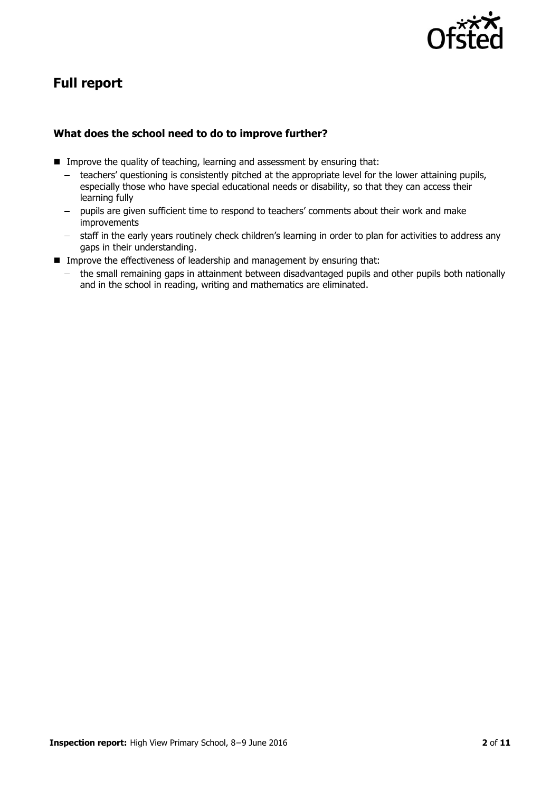

# **Full report**

### **What does the school need to do to improve further?**

- **IMPROVE THE QUALITY OF TEACHT AND THE IMPROVE THE QUALITY OF TEACHT IS A LIM** assessment by ensuring that:
	- $\frac{1}{2}$ teachers" questioning is consistently pitched at the appropriate level for the lower attaining pupils, especially those who have special educational needs or disability, so that they can access their learning fully
	- pupils are given sufficient time to respond to teachers' comments about their work and make improvements
	- staff in the early years routinely check children's learning in order to plan for activities to address any gaps in their understanding.
- **IMPROVE THE EFFECTIVENESS OF leadership and management by ensuring that:** 
	- the small remaining gaps in attainment between disadvantaged pupils and other pupils both nationally and in the school in reading, writing and mathematics are eliminated.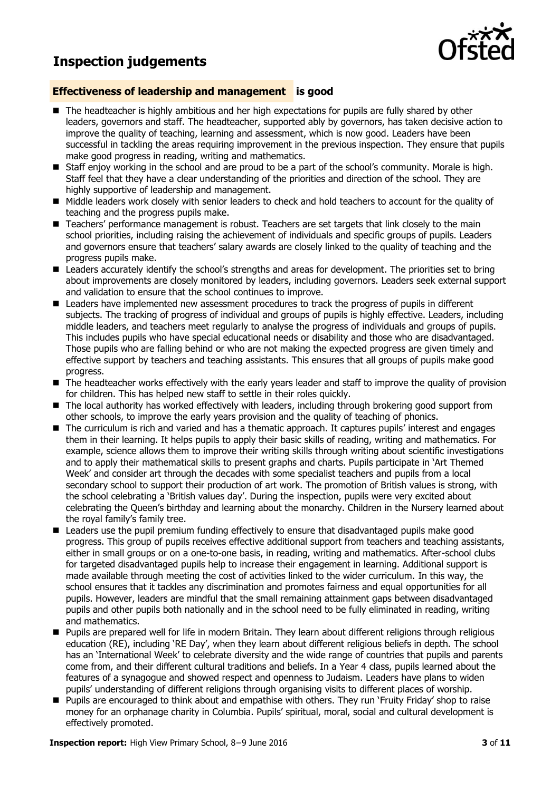## **Inspection judgements**



### **Effectiveness of leadership and management is good**

- The headteacher is highly ambitious and her high expectations for pupils are fully shared by other leaders, governors and staff. The headteacher, supported ably by governors, has taken decisive action to improve the quality of teaching, learning and assessment, which is now good. Leaders have been successful in tackling the areas requiring improvement in the previous inspection. They ensure that pupils make good progress in reading, writing and mathematics.
- Staff enjoy working in the school and are proud to be a part of the school's community. Morale is high. Staff feel that they have a clear understanding of the priorities and direction of the school. They are highly supportive of leadership and management.
- $\blacksquare$  Middle leaders work closely with senior leaders to check and hold teachers to account for the quality of teaching and the progress pupils make.
- Teachers' performance management is robust. Teachers are set targets that link closely to the main school priorities, including raising the achievement of individuals and specific groups of pupils. Leaders and governors ensure that teachers' salary awards are closely linked to the quality of teaching and the progress pupils make.
- Leaders accurately identify the school's strengths and areas for development. The priorities set to bring about improvements are closely monitored by leaders, including governors. Leaders seek external support and validation to ensure that the school continues to improve.
- **E** Leaders have implemented new assessment procedures to track the progress of pupils in different subjects. The tracking of progress of individual and groups of pupils is highly effective. Leaders, including middle leaders, and teachers meet regularly to analyse the progress of individuals and groups of pupils. This includes pupils who have special educational needs or disability and those who are disadvantaged. Those pupils who are falling behind or who are not making the expected progress are given timely and effective support by teachers and teaching assistants. This ensures that all groups of pupils make good progress.
- The headteacher works effectively with the early years leader and staff to improve the quality of provision for children. This has helped new staff to settle in their roles quickly.
- The local authority has worked effectively with leaders, including through brokering good support from other schools, to improve the early years provision and the quality of teaching of phonics.
- The curriculum is rich and varied and has a thematic approach. It captures pupils' interest and engages them in their learning. It helps pupils to apply their basic skills of reading, writing and mathematics. For example, science allows them to improve their writing skills through writing about scientific investigations and to apply their mathematical skills to present graphs and charts. Pupils participate in "Art Themed Week" and consider art through the decades with some specialist teachers and pupils from a local secondary school to support their production of art work. The promotion of British values is strong, with the school celebrating a "British values day". During the inspection, pupils were very excited about celebrating the Queen"s birthday and learning about the monarchy. Children in the Nursery learned about the royal family's family tree.
- Leaders use the pupil premium funding effectively to ensure that disadvantaged pupils make good progress. This group of pupils receives effective additional support from teachers and teaching assistants, either in small groups or on a one-to-one basis, in reading, writing and mathematics. After-school clubs for targeted disadvantaged pupils help to increase their engagement in learning. Additional support is made available through meeting the cost of activities linked to the wider curriculum. In this way, the school ensures that it tackles any discrimination and promotes fairness and equal opportunities for all pupils. However, leaders are mindful that the small remaining attainment gaps between disadvantaged pupils and other pupils both nationally and in the school need to be fully eliminated in reading, writing and mathematics.
- **Pupils are prepared well for life in modern Britain. They learn about different religions through religious** education (RE), including "RE Day", when they learn about different religious beliefs in depth. The school has an "International Week" to celebrate diversity and the wide range of countries that pupils and parents come from, and their different cultural traditions and beliefs. In a Year 4 class, pupils learned about the features of a synagogue and showed respect and openness to Judaism. Leaders have plans to widen pupils' understanding of different religions through organising visits to different places of worship.
- Pupils are encouraged to think about and empathise with others. They run 'Fruity Friday' shop to raise money for an orphanage charity in Columbia. Pupils" spiritual, moral, social and cultural development is effectively promoted.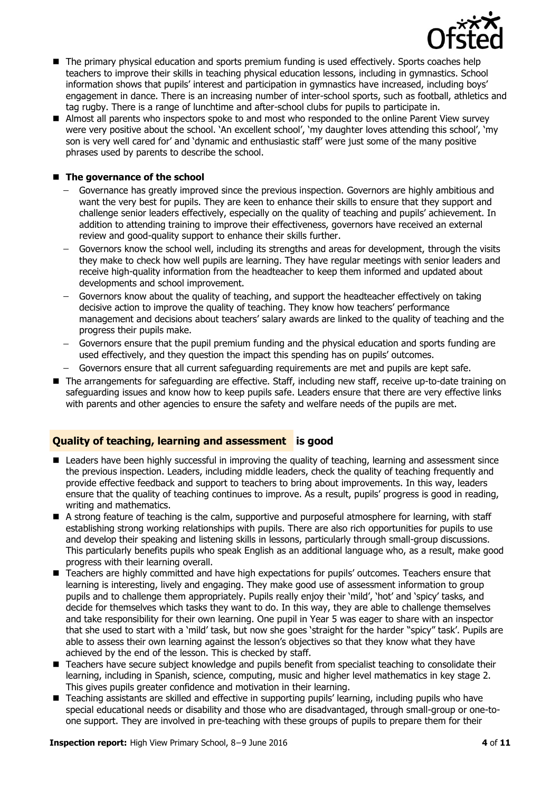

- $\blacksquare$  The primary physical education and sports premium funding is used effectively. Sports coaches help teachers to improve their skills in teaching physical education lessons, including in gymnastics. School information shows that pupils' interest and participation in gymnastics have increased, including boys' engagement in dance. There is an increasing number of inter-school sports, such as football, athletics and tag rugby. There is a range of lunchtime and after-school clubs for pupils to participate in.
- Almost all parents who inspectors spoke to and most who responded to the online Parent View survey were very positive about the school. "An excellent school", "my daughter loves attending this school", "my son is very well cared for" and "dynamic and enthusiastic staff" were just some of the many positive phrases used by parents to describe the school.

### ■ The governance of the school

- Governance has greatly improved since the previous inspection. Governors are highly ambitious and want the very best for pupils. They are keen to enhance their skills to ensure that they support and challenge senior leaders effectively, especially on the quality of teaching and pupils" achievement. In addition to attending training to improve their effectiveness, governors have received an external review and good-quality support to enhance their skills further.
- Governors know the school well, including its strengths and areas for development, through the visits  $\sim$ they make to check how well pupils are learning. They have regular meetings with senior leaders and receive high-quality information from the headteacher to keep them informed and updated about developments and school improvement.
- Governors know about the quality of teaching, and support the headteacher effectively on taking decisive action to improve the quality of teaching. They know how teachers" performance management and decisions about teachers" salary awards are linked to the quality of teaching and the progress their pupils make.
- Governors ensure that the pupil premium funding and the physical education and sports funding are used effectively, and they question the impact this spending has on pupils" outcomes.
- Governors ensure that all current safeguarding requirements are met and pupils are kept safe.
- The arrangements for safeguarding are effective. Staff, including new staff, receive up-to-date training on safeguarding issues and know how to keep pupils safe. Leaders ensure that there are very effective links with parents and other agencies to ensure the safety and welfare needs of the pupils are met.

### **Quality of teaching, learning and assessment is good**

- **E** Leaders have been highly successful in improving the quality of teaching, learning and assessment since the previous inspection. Leaders, including middle leaders, check the quality of teaching frequently and provide effective feedback and support to teachers to bring about improvements. In this way, leaders ensure that the quality of teaching continues to improve. As a result, pupils" progress is good in reading, writing and mathematics.
- A strong feature of teaching is the calm, supportive and purposeful atmosphere for learning, with staff establishing strong working relationships with pupils. There are also rich opportunities for pupils to use and develop their speaking and listening skills in lessons, particularly through small-group discussions. This particularly benefits pupils who speak English as an additional language who, as a result, make good progress with their learning overall.
- Teachers are highly committed and have high expectations for pupils' outcomes. Teachers ensure that learning is interesting, lively and engaging. They make good use of assessment information to group pupils and to challenge them appropriately. Pupils really enjoy their "mild", "hot" and "spicy" tasks, and decide for themselves which tasks they want to do. In this way, they are able to challenge themselves and take responsibility for their own learning. One pupil in Year 5 was eager to share with an inspector that she used to start with a "mild" task, but now she goes "straight for the harder "spicy" task". Pupils are able to assess their own learning against the lesson's objectives so that they know what they have achieved by the end of the lesson. This is checked by staff.
- Teachers have secure subject knowledge and pupils benefit from specialist teaching to consolidate their learning, including in Spanish, science, computing, music and higher level mathematics in key stage 2. This gives pupils greater confidence and motivation in their learning.
- Teaching assistants are skilled and effective in supporting pupils' learning, including pupils who have special educational needs or disability and those who are disadvantaged, through small-group or one-toone support. They are involved in pre-teaching with these groups of pupils to prepare them for their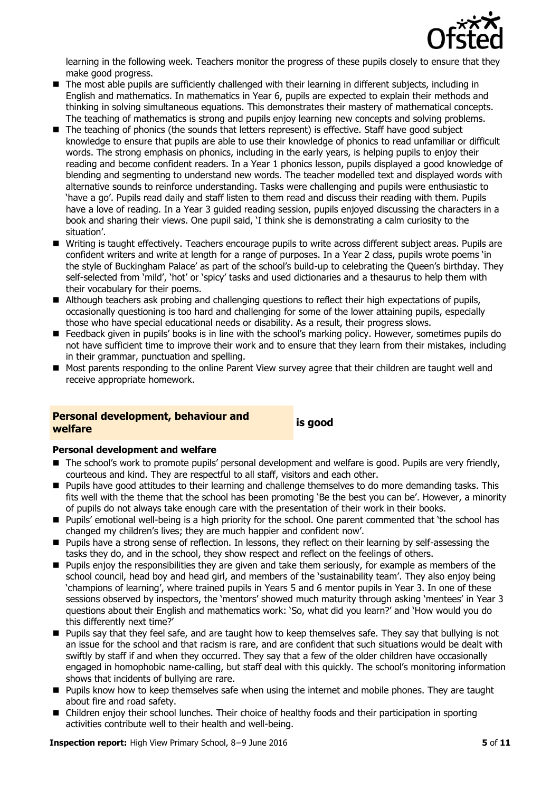

learning in the following week. Teachers monitor the progress of these pupils closely to ensure that they make good progress.

- The most able pupils are sufficiently challenged with their learning in different subjects, including in English and mathematics. In mathematics in Year 6, pupils are expected to explain their methods and thinking in solving simultaneous equations. This demonstrates their mastery of mathematical concepts. The teaching of mathematics is strong and pupils enjoy learning new concepts and solving problems.
- The teaching of phonics (the sounds that letters represent) is effective. Staff have good subject knowledge to ensure that pupils are able to use their knowledge of phonics to read unfamiliar or difficult words. The strong emphasis on phonics, including in the early years, is helping pupils to enjoy their reading and become confident readers. In a Year 1 phonics lesson, pupils displayed a good knowledge of blending and segmenting to understand new words. The teacher modelled text and displayed words with alternative sounds to reinforce understanding. Tasks were challenging and pupils were enthusiastic to "have a go". Pupils read daily and staff listen to them read and discuss their reading with them. Pupils have a love of reading. In a Year 3 guided reading session, pupils enjoyed discussing the characters in a book and sharing their views. One pupil said, "I think she is demonstrating a calm curiosity to the situation'.
- Writing is taught effectively. Teachers encourage pupils to write across different subject areas. Pupils are confident writers and write at length for a range of purposes. In a Year 2 class, pupils wrote poems "in the style of Buckingham Palace' as part of the school's build-up to celebrating the Queen's birthday. They self-selected from 'mild', 'hot' or 'spicy' tasks and used dictionaries and a thesaurus to help them with their vocabulary for their poems.
- Although teachers ask probing and challenging questions to reflect their high expectations of pupils, occasionally questioning is too hard and challenging for some of the lower attaining pupils, especially those who have special educational needs or disability. As a result, their progress slows.
- Feedback given in pupils' books is in line with the school's marking policy. However, sometimes pupils do not have sufficient time to improve their work and to ensure that they learn from their mistakes, including in their grammar, punctuation and spelling.
- Most parents responding to the online Parent View survey agree that their children are taught well and receive appropriate homework.

# **Personal development, behaviour and welfare is good**

### **Personal development and welfare**

- The school's work to promote pupils' personal development and welfare is good. Pupils are very friendly, courteous and kind. They are respectful to all staff, visitors and each other.
- **Pupils have good attitudes to their learning and challenge themselves to do more demanding tasks. This** fits well with the theme that the school has been promoting 'Be the best you can be'. However, a minority of pupils do not always take enough care with the presentation of their work in their books.
- **Pupils'** emotional well-being is a high priority for the school. One parent commented that 'the school has changed my children's lives; they are much happier and confident now'.
- **Pupils have a strong sense of reflection. In lessons, they reflect on their learning by self-assessing the** tasks they do, and in the school, they show respect and reflect on the feelings of others.
- **Pupils enjoy the responsibilities they are given and take them seriously, for example as members of the** school council, head boy and head girl, and members of the "sustainability team". They also enjoy being "champions of learning", where trained pupils in Years 5 and 6 mentor pupils in Year 3. In one of these sessions observed by inspectors, the "mentors" showed much maturity through asking "mentees" in Year 3 questions about their English and mathematics work: "So, what did you learn?" and "How would you do this differently next time?"
- Pupils say that they feel safe, and are taught how to keep themselves safe. They say that bullying is not an issue for the school and that racism is rare, and are confident that such situations would be dealt with swiftly by staff if and when they occurred. They say that a few of the older children have occasionally engaged in homophobic name-calling, but staff deal with this quickly. The school"s monitoring information shows that incidents of bullying are rare.
- **Pupils know how to keep themselves safe when using the internet and mobile phones. They are taught** about fire and road safety.
- Children enjoy their school lunches. Their choice of healthy foods and their participation in sporting activities contribute well to their health and well-being.

**Inspection report:** High View Primary School, 8−9 June 2016 **5** of **11**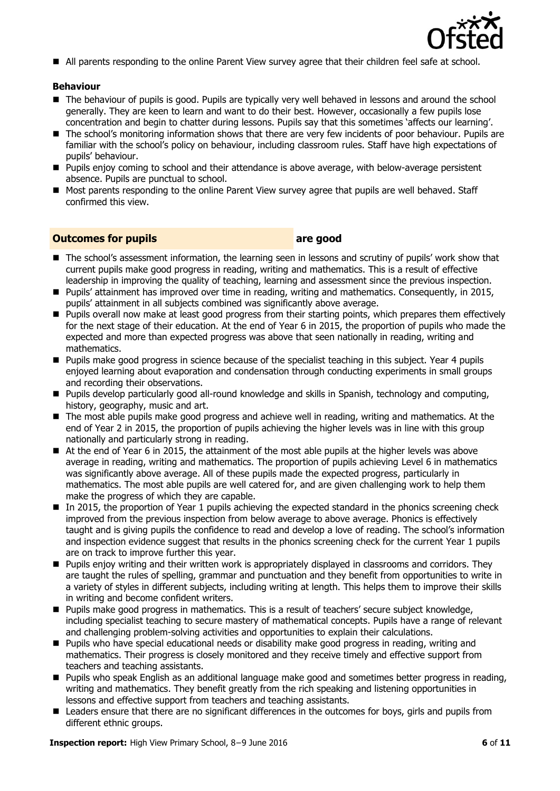

All parents responding to the online Parent View survey agree that their children feel safe at school.

### **Behaviour**

- The behaviour of pupils is good. Pupils are typically very well behaved in lessons and around the school generally. They are keen to learn and want to do their best. However, occasionally a few pupils lose concentration and begin to chatter during lessons. Pupils say that this sometimes "affects our learning".
- The school's monitoring information shows that there are very few incidents of poor behaviour. Pupils are familiar with the school"s policy on behaviour, including classroom rules. Staff have high expectations of pupils" behaviour.
- **Pupils enjoy coming to school and their attendance is above average, with below-average persistent** absence. Pupils are punctual to school.
- **Most parents responding to the online Parent View survey agree that pupils are well behaved. Staff** confirmed this view.

### **Outcomes for pupils are good**

- The school's assessment information, the learning seen in lessons and scrutiny of pupils' work show that current pupils make good progress in reading, writing and mathematics. This is a result of effective leadership in improving the quality of teaching, learning and assessment since the previous inspection.
- Pupils" attainment has improved over time in reading, writing and mathematics. Consequently, in 2015, pupils" attainment in all subjects combined was significantly above average.
- Pupils overall now make at least good progress from their starting points, which prepares them effectively for the next stage of their education. At the end of Year 6 in 2015, the proportion of pupils who made the expected and more than expected progress was above that seen nationally in reading, writing and mathematics.
- Pupils make good progress in science because of the specialist teaching in this subject. Year 4 pupils enjoyed learning about evaporation and condensation through conducting experiments in small groups and recording their observations.
- **Pupils develop particularly good all-round knowledge and skills in Spanish, technology and computing,** history, geography, music and art.
- The most able pupils make good progress and achieve well in reading, writing and mathematics. At the end of Year 2 in 2015, the proportion of pupils achieving the higher levels was in line with this group nationally and particularly strong in reading.
- At the end of Year 6 in 2015, the attainment of the most able pupils at the higher levels was above average in reading, writing and mathematics. The proportion of pupils achieving Level 6 in mathematics was significantly above average. All of these pupils made the expected progress, particularly in mathematics. The most able pupils are well catered for, and are given challenging work to help them make the progress of which they are capable.
- In 2015, the proportion of Year 1 pupils achieving the expected standard in the phonics screening check improved from the previous inspection from below average to above average. Phonics is effectively taught and is giving pupils the confidence to read and develop a love of reading. The school"s information and inspection evidence suggest that results in the phonics screening check for the current Year 1 pupils are on track to improve further this year.
- Pupils enjoy writing and their written work is appropriately displayed in classrooms and corridors. They are taught the rules of spelling, grammar and punctuation and they benefit from opportunities to write in a variety of styles in different subjects, including writing at length. This helps them to improve their skills in writing and become confident writers.
- **Pupils make good progress in mathematics. This is a result of teachers' secure subject knowledge,** including specialist teaching to secure mastery of mathematical concepts. Pupils have a range of relevant and challenging problem-solving activities and opportunities to explain their calculations.
- Pupils who have special educational needs or disability make good progress in reading, writing and mathematics. Their progress is closely monitored and they receive timely and effective support from teachers and teaching assistants.
- Pupils who speak English as an additional language make good and sometimes better progress in reading, writing and mathematics. They benefit greatly from the rich speaking and listening opportunities in lessons and effective support from teachers and teaching assistants.
- Leaders ensure that there are no significant differences in the outcomes for boys, girls and pupils from different ethnic groups.

**Inspection report:** High View Primary School, 8−9 June 2016 **6** of **11**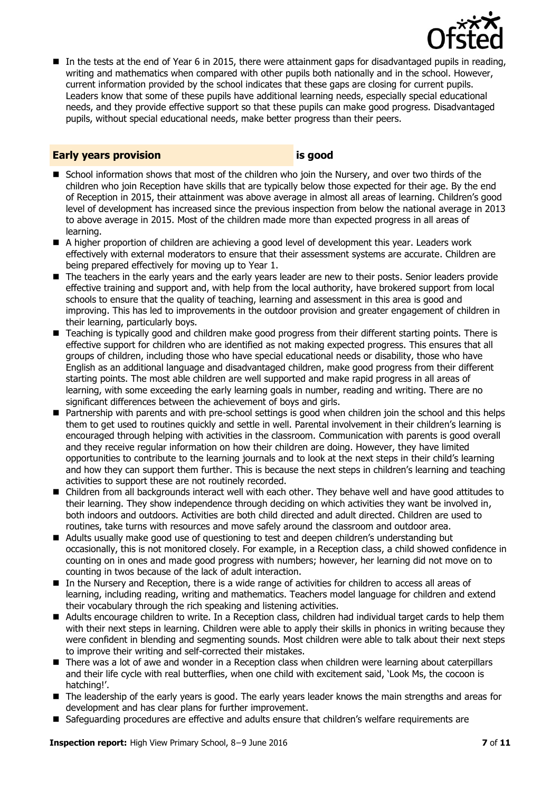

In the tests at the end of Year 6 in 2015, there were attainment gaps for disadvantaged pupils in reading, writing and mathematics when compared with other pupils both nationally and in the school. However, current information provided by the school indicates that these gaps are closing for current pupils. Leaders know that some of these pupils have additional learning needs, especially special educational needs, and they provide effective support so that these pupils can make good progress. Disadvantaged pupils, without special educational needs, make better progress than their peers.

### **Early years provision is good**

- School information shows that most of the children who join the Nursery, and over two thirds of the children who join Reception have skills that are typically below those expected for their age. By the end of Reception in 2015, their attainment was above average in almost all areas of learning. Children"s good level of development has increased since the previous inspection from below the national average in 2013 to above average in 2015. Most of the children made more than expected progress in all areas of learning.
- A higher proportion of children are achieving a good level of development this year. Leaders work effectively with external moderators to ensure that their assessment systems are accurate. Children are being prepared effectively for moving up to Year 1.
- The teachers in the early years and the early years leader are new to their posts. Senior leaders provide effective training and support and, with help from the local authority, have brokered support from local schools to ensure that the quality of teaching, learning and assessment in this area is good and improving. This has led to improvements in the outdoor provision and greater engagement of children in their learning, particularly boys.
- Teaching is typically good and children make good progress from their different starting points. There is effective support for children who are identified as not making expected progress. This ensures that all groups of children, including those who have special educational needs or disability, those who have English as an additional language and disadvantaged children, make good progress from their different starting points. The most able children are well supported and make rapid progress in all areas of learning, with some exceeding the early learning goals in number, reading and writing. There are no significant differences between the achievement of boys and girls.
- Partnership with parents and with pre-school settings is good when children join the school and this helps them to get used to routines quickly and settle in well. Parental involvement in their children"s learning is encouraged through helping with activities in the classroom. Communication with parents is good overall and they receive regular information on how their children are doing. However, they have limited opportunities to contribute to the learning journals and to look at the next steps in their child"s learning and how they can support them further. This is because the next steps in children's learning and teaching activities to support these are not routinely recorded.
- Children from all backgrounds interact well with each other. They behave well and have good attitudes to their learning. They show independence through deciding on which activities they want be involved in, both indoors and outdoors. Activities are both child directed and adult directed. Children are used to routines, take turns with resources and move safely around the classroom and outdoor area.
- Adults usually make good use of questioning to test and deepen children"s understanding but occasionally, this is not monitored closely. For example, in a Reception class, a child showed confidence in counting on in ones and made good progress with numbers; however, her learning did not move on to counting in twos because of the lack of adult interaction.
- In the Nursery and Reception, there is a wide range of activities for children to access all areas of learning, including reading, writing and mathematics. Teachers model language for children and extend their vocabulary through the rich speaking and listening activities.
- Adults encourage children to write. In a Reception class, children had individual target cards to help them with their next steps in learning. Children were able to apply their skills in phonics in writing because they were confident in blending and segmenting sounds. Most children were able to talk about their next steps to improve their writing and self-corrected their mistakes.
- There was a lot of awe and wonder in a Reception class when children were learning about caterpillars and their life cycle with real butterflies, when one child with excitement said, "Look Ms, the cocoon is hatching!'.
- The leadership of the early years is good. The early years leader knows the main strengths and areas for development and has clear plans for further improvement.
- **Safeguarding procedures are effective and adults ensure that children's welfare requirements are**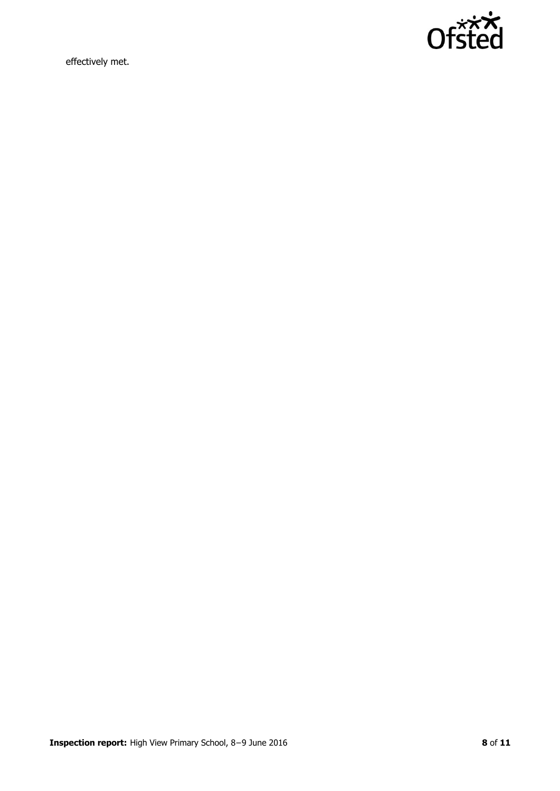

effectively met.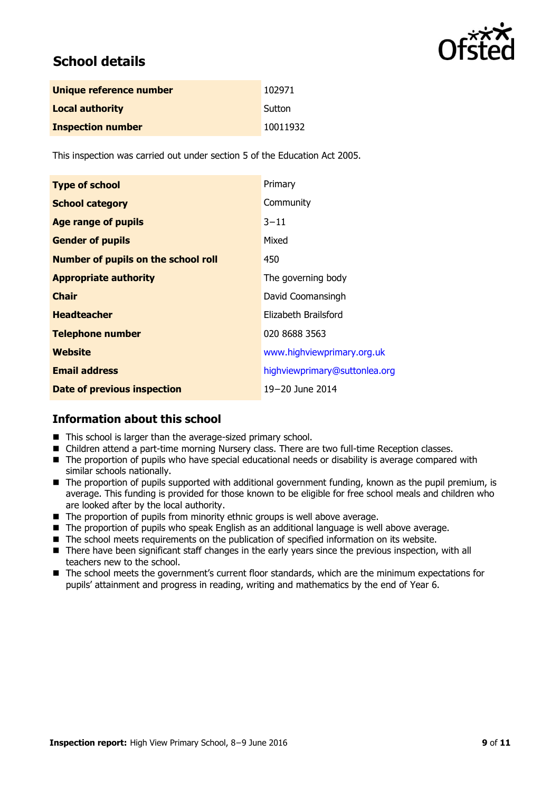

# **School details**

| Unique reference number  | 102971   |
|--------------------------|----------|
| <b>Local authority</b>   | Sutton   |
| <b>Inspection number</b> | 10011932 |

This inspection was carried out under section 5 of the Education Act 2005.

| <b>Type of school</b>                      | Primary                       |
|--------------------------------------------|-------------------------------|
| <b>School category</b>                     | Community                     |
| <b>Age range of pupils</b>                 | $3 - 11$                      |
| <b>Gender of pupils</b>                    | Mixed                         |
| <b>Number of pupils on the school roll</b> | 450                           |
| <b>Appropriate authority</b>               | The governing body            |
| <b>Chair</b>                               | David Coomansingh             |
| <b>Headteacher</b>                         | Elizabeth Brailsford          |
| <b>Telephone number</b>                    | 020 8688 3563                 |
| <b>Website</b>                             | www.highviewprimary.org.uk    |
| <b>Email address</b>                       | highviewprimary@suttonlea.org |
| <b>Date of previous inspection</b>         | 19-20 June 2014               |

### **Information about this school**

- This school is larger than the average-sized primary school.
- Children attend a part-time morning Nursery class. There are two full-time Reception classes.
- The proportion of pupils who have special educational needs or disability is average compared with similar schools nationally.
- The proportion of pupils supported with additional government funding, known as the pupil premium, is average. This funding is provided for those known to be eligible for free school meals and children who are looked after by the local authority.
- The proportion of pupils from minority ethnic groups is well above average.
- The proportion of pupils who speak English as an additional language is well above average.
- The school meets requirements on the publication of specified information on its website.
- There have been significant staff changes in the early years since the previous inspection, with all teachers new to the school.
- The school meets the government's current floor standards, which are the minimum expectations for pupils" attainment and progress in reading, writing and mathematics by the end of Year 6.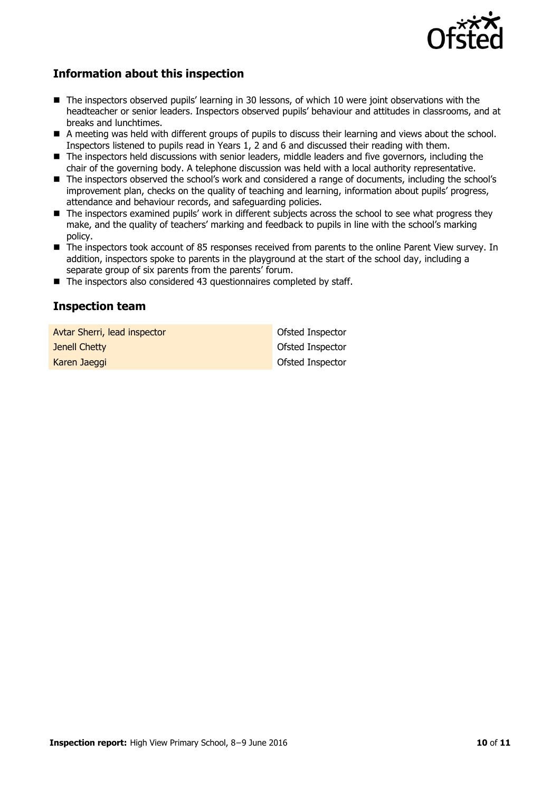

### **Information about this inspection**

- The inspectors observed pupils' learning in 30 lessons, of which 10 were joint observations with the headteacher or senior leaders. Inspectors observed pupils" behaviour and attitudes in classrooms, and at breaks and lunchtimes.
- A meeting was held with different groups of pupils to discuss their learning and views about the school. Inspectors listened to pupils read in Years 1, 2 and 6 and discussed their reading with them.
- The inspectors held discussions with senior leaders, middle leaders and five governors, including the chair of the governing body. A telephone discussion was held with a local authority representative.
- The inspectors observed the school's work and considered a range of documents, including the school's improvement plan, checks on the quality of teaching and learning, information about pupils" progress, attendance and behaviour records, and safeguarding policies.
- $\blacksquare$  The inspectors examined pupils' work in different subjects across the school to see what progress they make, and the quality of teachers' marking and feedback to pupils in line with the school's marking policy.
- The inspectors took account of 85 responses received from parents to the online Parent View survey. In addition, inspectors spoke to parents in the playground at the start of the school day, including a separate group of six parents from the parents' forum.
- $\blacksquare$  The inspectors also considered 43 questionnaires completed by staff.

### **Inspection team**

| Avtar Sherri, lead inspector | Ofsted Inspector |
|------------------------------|------------------|
| Jenell Chetty                | Ofsted Inspector |
| Karen Jaeggi                 | Ofsted Inspector |